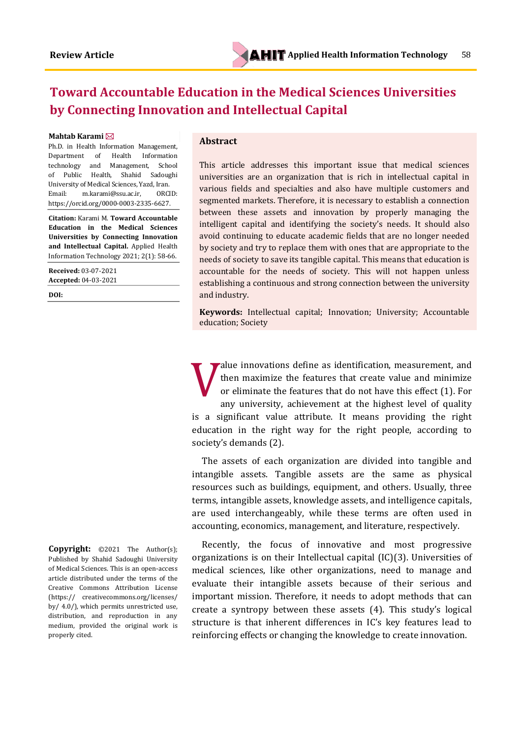# **Toward Accountable Education in the Medical Sciences Universities by Connecting Innovation and Intellectual Capital**

#### **Mahtab Karami**

Ph.D. in Health Information Management, Department of Health Information technology and Management, School of Public Health, Shahid Sadoughi University of Medical Sciences, Yazd, Iran. Email: [m.karami@ssu.ac.ir,](mailto:m.karami@ssu.ac.ir) ORCID: [https://orcid.org/0000-0003-2335-6627.](https://orcid.org/0000-0003-2335-6627) 

**Citation:** Karami M. **Toward Accountable Education in the Medical Sciences Universities by Connecting Innovation and Intellectual Capital.** Applied Health Information Technology 2021; 2(1): 58-66.

**Received:** 03-07-2021 **Accepted:** 04-03-2021

**DOI: sräzwrt∱Säx** 

#### **Abstract**

This article addresses this important issue that medical sciences universities are an organization that is rich in intellectual capital in various fields and specialties and also have multiple customers and segmented markets. Therefore, it is necessary to establish a connection between these assets and innovation by properly managing the intelligent capital and identifying the society's needs. It should also avoid continuing to educate academic fields that are no longer needed by society and try to replace them with ones that are appropriate to the needs of society to save its tangible capital. This means that education is accountable for the needs of society. This will not happen unless establishing a continuous and strong connection between the university and industry.

**Keywords:** Intellectual capital; Innovation; University; Accountable education; Society

alue innovations define as identification, measurement, and then maximize the features that create value and minimize or eliminate the features that do not have this effect (1). For any university, achievement at the highest level of quality is a significant value attribute. It means providing the right education in the right way for the right people, according to society's demands (2). V

The assets of each organization are divided into tangible and intangible assets. Tangible assets are the same as physical resources such as buildings, equipment, and others. Usually, three terms, intangible assets, knowledge assets, and intelligence capitals, are used interchangeably, while these terms are often used in accounting, economics, management, and literature, respectively.

Recently, the focus of innovative and most progressive organizations is on their Intellectual capital (IC)(3). Universities of medical sciences, like other organizations, need to manage and evaluate their intangible assets because of their serious and important mission. Therefore, it needs to adopt methods that can create a syntropy between these assets (4). This study's logical structure is that inherent differences in IC's key features lead to reinforcing effects or changing the knowledge to create innovation.

**Copyright:** ©2021 The Author(s); Published by Shahid Sadoughi University of Medical Sciences. This is an open-access article distributed under the terms of the Creative Commons Attribution License (https:// creativecommons.org/licenses/ by/ 4.0/), which permits unrestricted use, distribution, and reproduction in any medium, provided the original work is properly cited.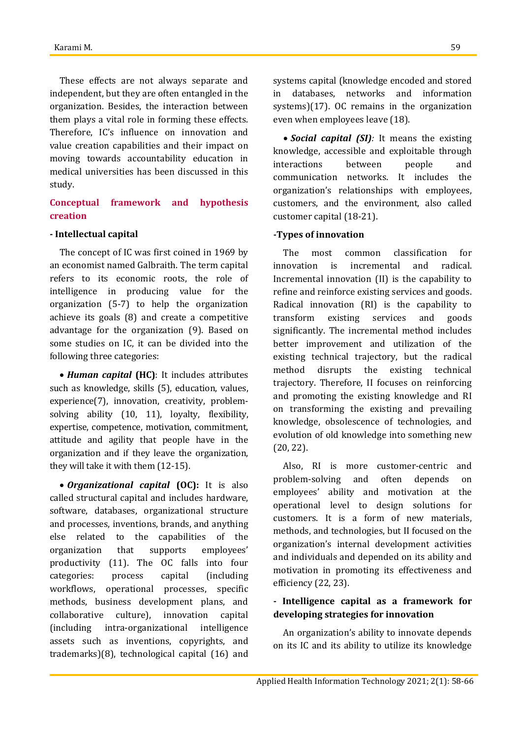These effects are not always separate and independent, but they are often entangled in the organization. Besides, the interaction between them plays a vital role in forming these effects. Therefore, IC's influence on innovation and value creation capabilities and their impact on moving towards accountability education in medical universities has been discussed in this study.

# **Conceptual framework and hypothesis creation**

#### **- Intellectual capital**

The concept of IC was first coined in 1969 by an economist named Galbraith. The term capital refers to its economic roots, the role of intelligence in producing value for the organization (5-7) to help the organization achieve its goals (8) and create a competitive advantage for the organization (9). Based on some studies on IC, it can be divided into the following three categories:

 *Human capital* **(HC)**: It includes attributes such as knowledge, skills (5), education, values, experience(7), innovation, creativity, problemsolving ability (10, 11), loyalty, flexibility, expertise, competence, motivation, commitment, attitude and agility that people have in the organization and if they leave the organization, they will take it with them (12-15).

 *Organizational capital* **(OC):** It is also called structural capital and includes hardware, software, databases, organizational structure and processes, inventions, brands, and anything else related to the capabilities of the organization that supports employees' productivity (11). The OC falls into four categories: process capital (including workflows, operational processes, specific methods, business development plans, and collaborative culture), innovation capital (including intra-organizational intelligence assets such as inventions, copyrights, and trademarks)(8), technological capital (16) and systems capital (knowledge encoded and stored databases, networks and information systems)(17). OC remains in the organization even when employees leave (18).

 *Social capital (SI):* It means the existing knowledge, accessible and exploitable through interactions between people and communication networks. It includes the organization's relationships with employees, customers, and the environment, also called customer capital (18-21).

#### **-Types of innovation**

The most common classification for innovation is incremental and radical. Incremental innovation (II) is the capability to refine and reinforce existing services and goods. Radical innovation (RI) is the capability to transform existing services and goods significantly. The incremental method includes better improvement and utilization of the existing technical trajectory, but the radical method disrupts the existing technical trajectory. Therefore, II focuses on reinforcing and promoting the existing knowledge and RI on transforming the existing and prevailing knowledge, obsolescence of technologies, and evolution of old knowledge into something new (20, 22).

Also, RI is more customer-centric and problem-solving and often depends on employees' ability and motivation at the operational level to design solutions for customers. It is a form of new materials, methods, and technologies, but II focused on the organization's internal development activities and individuals and depended on its ability and motivation in promoting its effectiveness and efficiency (22, 23).

# **- Intelligence capital as a framework for developing strategies for innovation**

An organization's ability to innovate depends on its IC and its ability to utilize its knowledge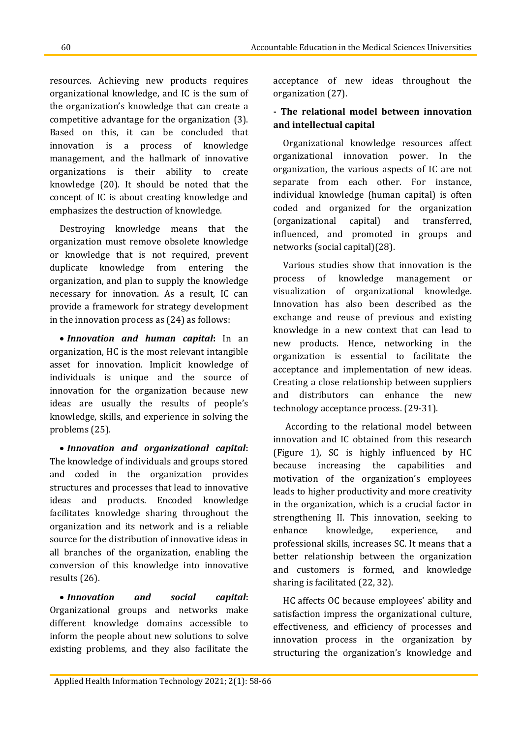resources. Achieving new products requires organizational knowledge, and IC is the sum of the organization's knowledge that can create a competitive advantage for the organization (3). Based on this, it can be concluded that innovation is a process of knowledge management, and the hallmark of innovative organizations is their ability to create knowledge (20). It should be noted that the concept of IC is about creating knowledge and emphasizes the destruction of knowledge.

Destroying knowledge means that the organization must remove obsolete knowledge or knowledge that is not required, prevent duplicate knowledge from entering the organization, and plan to supply the knowledge necessary for innovation. As a result, IC can provide a framework for strategy development in the innovation process as (24) as follows:

 *Innovation and human capital***:** In an organization, HC is the most relevant intangible asset for innovation. Implicit knowledge of individuals is unique and the source of innovation for the organization because new ideas are usually the results of people's knowledge, skills, and experience in solving the problems (25).

 *Innovation and organizational capital***:** The knowledge of individuals and groups stored and coded in the organization provides structures and processes that lead to innovative ideas and products. Encoded knowledge facilitates knowledge sharing throughout the organization and its network and is a reliable source for the distribution of innovative ideas in all branches of the organization, enabling the conversion of this knowledge into innovative results (26).

 *Innovation and social capital***:** Organizational groups and networks make different knowledge domains accessible to inform the people about new solutions to solve existing problems, and they also facilitate the acceptance of new ideas throughout the organization (27).

# **- The relational model between innovation and intellectual capital**

Organizational knowledge resources affect organizational innovation power. In the organization, the various aspects of IC are not separate from each other. For instance, individual knowledge (human capital) is often coded and organized for the organization (organizational capital) and transferred, influenced, and promoted in groups and networks (social capital)(28).

Various studies show that innovation is the process of knowledge management or visualization of organizational knowledge. Innovation has also been described as the exchange and reuse of previous and existing knowledge in a new context that can lead to new products. Hence, networking in the organization is essential to facilitate the acceptance and implementation of new ideas. Creating a close relationship between suppliers and distributors can enhance the new technology acceptance process. (29-31).

According to the relational model between innovation and IC obtained from this research (Figure 1), SC is highly influenced by HC because increasing the capabilities and motivation of the organization's employees leads to higher productivity and more creativity in the organization, which is a crucial factor in strengthening II. This innovation, seeking to enhance knowledge, experience, and professional skills, increases SC. It means that a better relationship between the organization and customers is formed, and knowledge sharing is facilitated (22, 32).

HC affects OC because employees' ability and satisfaction impress the organizational culture, effectiveness, and efficiency of processes and innovation process in the organization by structuring the organization's knowledge and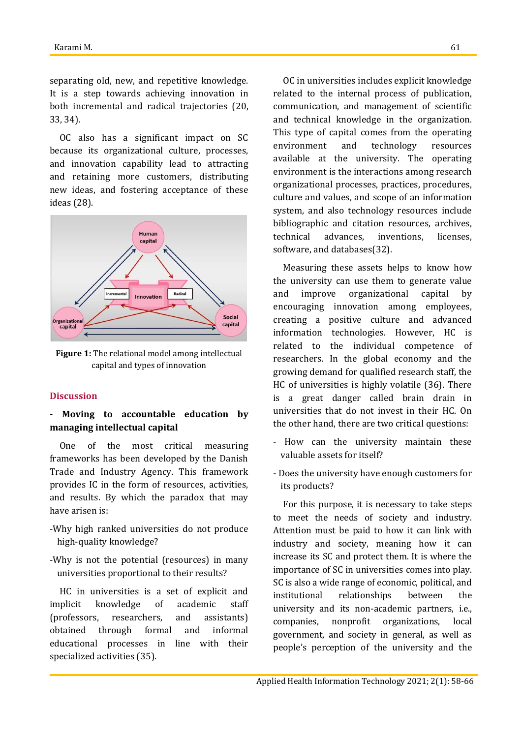separating old, new, and repetitive knowledge. It is a step towards achieving innovation in both incremental and radical trajectories (20, 33, 34).

OC also has a significant impact on SC because its organizational culture, processes, and innovation capability lead to attracting and retaining more customers, distributing new ideas, and fostering acceptance of these ideas (28).



**Figure 1:** The relational model among intellectual capital and types of innovation

#### **Discussion**

# **- Moving to accountable education by managing intellectual capital**

One of the most critical measuring frameworks has been developed by the Danish Trade and Industry Agency. This framework provides IC in the form of resources, activities, and results. By which the paradox that may have arisen is:

- -Why high ranked universities do not produce high-quality knowledge?
- -Why is not the potential (resources) in many universities proportional to their results?

HC in universities is a set of explicit and implicit knowledge of academic staff (professors, researchers, and assistants) obtained through formal and informal educational processes in line with their specialized activities (35).

OC in universities includes explicit knowledge related to the internal process of publication, communication, and management of scientific and technical knowledge in the organization. This type of capital comes from the operating environment and technology resources available at the university. The operating environment is the interactions among research organizational processes, practices, procedures, culture and values, and scope of an information system, and also technology resources include bibliographic and citation resources, archives, technical advances, inventions, licenses, software, and databases(32).

Measuring these assets helps to know how the university can use them to generate value and improve organizational capital by encouraging innovation among employees, creating a positive culture and advanced information technologies. However, HC is related to the individual competence of researchers. In the global economy and the growing demand for qualified research staff, the HC of universities is highly volatile (36). There is a great danger called brain drain in universities that do not invest in their HC. On the other hand, there are two critical questions:

- How can the university maintain these valuable assets for itself?
- Does the university have enough customers for its products?

For this purpose, it is necessary to take steps to meet the needs of society and industry. Attention must be paid to how it can link with industry and society, meaning how it can increase its SC and protect them. It is where the importance of SC in universities comes into play. SC is also a wide range of economic, political, and institutional relationships between the university and its non-academic partners, i.e., companies, nonprofit organizations, local government, and society in general, as well as people's perception of the university and the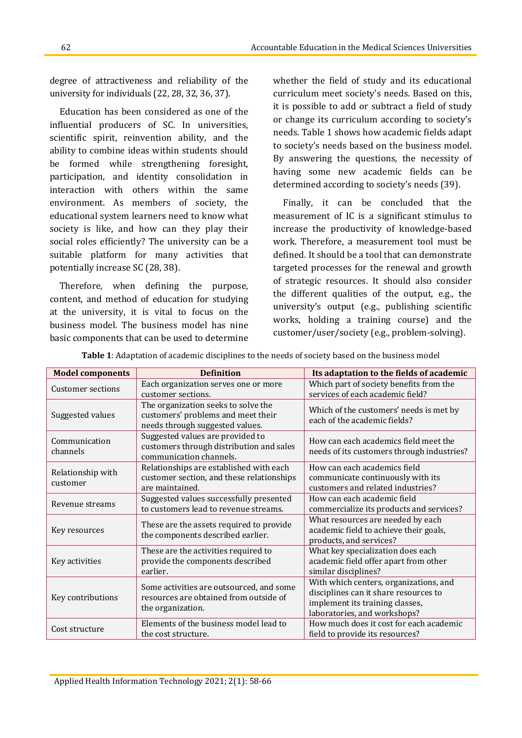62 Accountable Education in the Medical Sciences Universities

degree of attractiveness and reliability of the university for individuals (22, 28, 32, 36, 37).

Education has been considered as one of the influential producers of SC. In universities, scientific spirit, reinvention ability, and the ability to combine ideas within students should be formed while strengthening foresight, participation, and identity consolidation in interaction with others within the same environment. As members of society, the educational system learners need to know what society is like, and how can they play their social roles efficiently? The university can be a suitable platform for many activities that potentially increase SC (28, 38).

Therefore, when defining the purpose, content, and method of education for studying at the university, it is vital to focus on the business model. The business model has nine basic components that can be used to determine

whether the field of study and its educational curriculum meet society's needs. Based on this, it is possible to add or subtract a field of study or change its curriculum according to society's needs. Table 1 shows how academic fields adapt to society's needs based on the business model. By answering the questions, the necessity of having some new academic fields can be determined according to society's needs (39).

Finally, it can be concluded that the measurement of IC is a significant stimulus to increase the productivity of knowledge-based work. Therefore, a measurement tool must be defined. It should be a tool that can demonstrate targeted processes for the renewal and growth of strategic resources. It should also consider the different qualities of the output, e.g., the university's output (e.g., publishing scientific works, holding a training course) and the customer/user/society (e.g., problem-solving).

| <b>Model components</b>       | <b>Definition</b>                                                                                            | Its adaptation to the fields of academic                                                                                                           |  |
|-------------------------------|--------------------------------------------------------------------------------------------------------------|----------------------------------------------------------------------------------------------------------------------------------------------------|--|
| Customer sections             | Each organization serves one or more<br>customer sections.                                                   | Which part of society benefits from the<br>services of each academic field?                                                                        |  |
| Suggested values              | The organization seeks to solve the<br>customers' problems and meet their<br>needs through suggested values. | Which of the customers' needs is met by<br>each of the academic fields?                                                                            |  |
| Communication<br>channels     | Suggested values are provided to<br>customers through distribution and sales<br>communication channels.      | How can each academics field meet the<br>needs of its customers through industries?                                                                |  |
| Relationship with<br>customer | Relationships are established with each<br>customer section, and these relationships<br>are maintained.      | How can each academics field<br>communicate continuously with its<br>customers and related industries?                                             |  |
| Revenue streams               | Suggested values successfully presented<br>to customers lead to revenue streams.                             | How can each academic field<br>commercialize its products and services?                                                                            |  |
| Key resources                 | These are the assets required to provide<br>the components described earlier.                                | What resources are needed by each<br>academic field to achieve their goals,<br>products, and services?                                             |  |
| Key activities                | These are the activities required to<br>provide the components described<br>earlier.                         | What key specialization does each<br>academic field offer apart from other<br>similar disciplines?                                                 |  |
| Key contributions             | Some activities are outsourced, and some<br>resources are obtained from outside of<br>the organization.      | With which centers, organizations, and<br>disciplines can it share resources to<br>implement its training classes,<br>laboratories, and workshops? |  |
| Cost structure                | Elements of the business model lead to<br>the cost structure.                                                | How much does it cost for each academic<br>field to provide its resources?                                                                         |  |

**Table 1**: Adaptation of academic disciplines to the needs of society based on the business model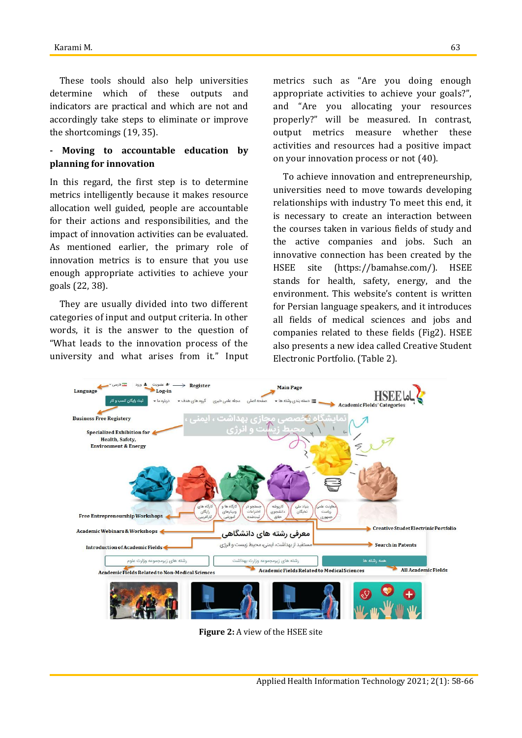These tools should also help universities determine which of these outputs and indicators are practical and which are not and accordingly take steps to eliminate or improve the shortcomings (19, 35).

# **- Moving to accountable education by planning for innovation**

In this regard, the first step is to determine metrics intelligently because it makes resource allocation well guided, people are accountable for their actions and responsibilities, and the impact of innovation activities can be evaluated. As mentioned earlier, the primary role of innovation metrics is to ensure that you use enough appropriate activities to achieve your goals (22, 38).

They are usually divided into two different categories of input and output criteria. In other words, it is the answer to the question of "What leads to the innovation process of the university and what arises from it." Input metrics such as "Are you doing enough appropriate activities to achieve your goals?", and "Are you allocating your resources properly?" will be measured. In contrast, output metrics measure whether these activities and resources had a positive impact on your innovation process or not (40).

To achieve innovation and entrepreneurship, universities need to move towards developing relationships with industry To meet this end, it is necessary to create an interaction between the courses taken in various fields of study and the active companies and jobs. Such an innovative connection has been created by the HSEE site (https://bamahse.com/). HSEE stands for health, safety, energy, and the environment. This website's content is written for Persian language speakers, and it introduces all fields of medical sciences and jobs and companies related to these fields (Fig2). HSEE also presents a new idea called Creative Student Electronic Portfolio. (Table 2).



**Figure 2:** A view of the HSEE site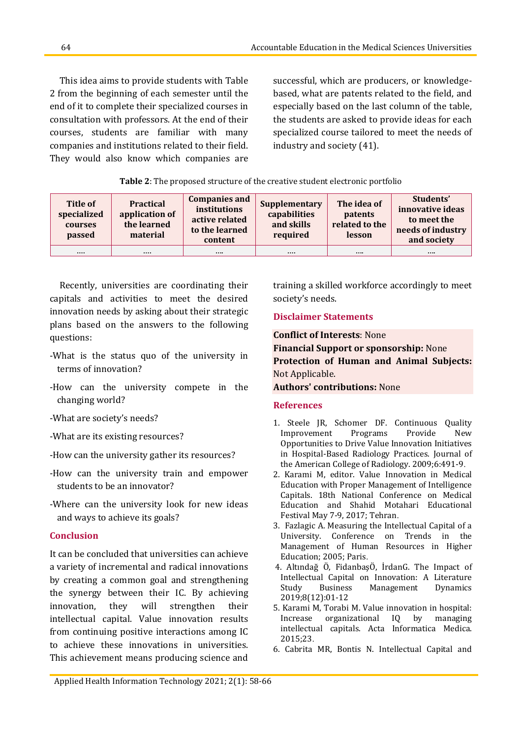This idea aims to provide students with Table 2 from the beginning of each semester until the end of it to complete their specialized courses in consultation with professors. At the end of their courses, students are familiar with many companies and institutions related to their field. They would also know which companies are successful, which are producers, or knowledgebased, what are patents related to the field, and especially based on the last column of the table, the students are asked to provide ideas for each specialized course tailored to meet the needs of industry and society (41).

| Title of<br>specialized<br><b>courses</b><br>passed | <b>Practical</b><br>application of<br>the learned<br>material | <b>Companies and</b><br>institutions<br>active related<br>to the learned<br>content | Supplementary<br>capabilities<br>and skills<br>required | The idea of<br><b>patents</b><br>related to the<br>lesson | Students'<br>innovative ideas<br>to meet the<br>needs of industry<br>and society |
|-----------------------------------------------------|---------------------------------------------------------------|-------------------------------------------------------------------------------------|---------------------------------------------------------|-----------------------------------------------------------|----------------------------------------------------------------------------------|
|                                                     |                                                               |                                                                                     |                                                         |                                                           |                                                                                  |

Recently, universities are coordinating their capitals and activities to meet the desired innovation needs by asking about their strategic plans based on the answers to the following questions:

- -What is the status quo of the university in terms of innovation?
- -How can the university compete in the changing world?
- -What are society's needs?
- -What are its existing resources?
- -How can the university gather its resources?
- -How can the university train and empower students to be an innovator?
- -Where can the university look for new ideas and ways to achieve its goals?

#### **Conclusion**

It can be concluded that universities can achieve a variety of incremental and radical innovations by creating a common goal and strengthening the synergy between their IC. By achieving innovation, they will strengthen their intellectual capital. Value innovation results from continuing positive interactions among IC to achieve these innovations in universities. This achievement means producing science and training a skilled workforce accordingly to meet society's needs.

#### **Disclaimer Statements**

#### **Conflict of Interests**: None

**Financial Support or sponsorship:** None **Protection of Human and Animal Subjects:** Not Applicable.

### **Authors' contributions:** None

#### **References**

- 1. Steele JR, Schomer DF. Continuous Quality Improvement Programs Provide New Opportunities to Drive Value Innovation Initiatives in Hospital-Based Radiology Practices. Journal of the American College of Radiology. 2009;6:491-9.
- 2. Karami M, editor. Value Innovation in Medical Education with Proper Management of Intelligence Capitals. 18th National Conference on Medical Education and Shahid Motahari Educational Festival May 7-9, 2017; Tehran.
- 3. Fazlagic A. Measuring the Intellectual Capital of a University. Conference on Trends in the Management of Human Resources in Higher Education; 2005; Paris.
- 4. Altındağ Ö, FidanbaşÖ, İrdanG. The Impact of Intellectual Capital on Innovation: A Literature Study Business Management Dynamics 2019;8(12):01-12
- 5. Karami M, Torabi M. Value innovation in hospital: Increase organizational IQ by managing intellectual capitals. Acta Informatica Medica. 2015;23.
- 6. Cabrita MR, Bontis N. Intellectual Capital and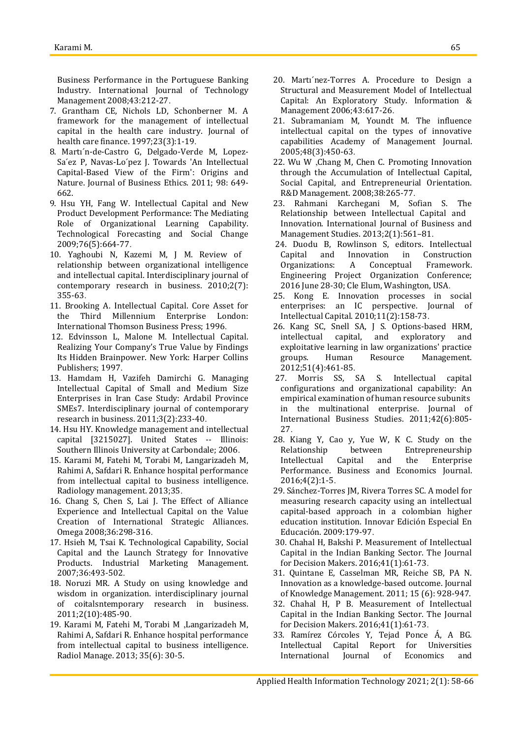Business Performance in the Portuguese Banking Industry. International Journal of Technology Management 2008;43:212-27.

- 7. Grantham CE, Nichols LD, Schonberner M. A framework for the management of intellectual capital in the health care industry. Journal of health care finance. 1997;23(3):1-19.
- 8. Martı´n-de-Castro G, Delgado-Verde M, Lopez-Sa'ez P, Navas-Lo'pez J. Towards 'An Intellectual Capital-Based View of the Firm': Origins and Nature. Journal of Business Ethics. 2011; 98: 649- 662.
- 9. Hsu YH, Fang W. Intellectual Capital and New Product Development Performance: The Mediating Role of Organizational Learning Capability. Technological Forecasting and Social Change 2009;76(5):664-77.
- 10. Yaghoubi N, Kazemi M, J M. Review of relationship between organizational intelligence and intellectual capital. Interdisciplinary journal of contemporary research in business. 2010;2(7): 355-63.
- 11. Brooking A. Intellectual Capital. Core Asset for the Third Millennium Enterprise London: International Thomson Business Press; 1996.
- 12. Edvinsson L, Malone M. Intellectual Capital. Realizing Your Company's True Value by Findings Its Hidden Brainpower. New York: Harper Collins Publishers; 1997.
- 13. Hamdam H, Vazifeh Damirchi G. Managing Intellectual Capital of Small and Medium Size Enterprises in Iran Case Study: Ardabil Province SMEs7. Interdisciplinary journal of contemporary research in business. 2011;3(2):233-40.
- 14. Hsu HY. Knowledge management and intellectual capital [3215027]. United States -- Illinois: Southern Illinois University at Carbondale; 2006.
- 15. Karami M, Fatehi M, Torabi M, Langarizadeh M, Rahimi A, Safdari R. Enhance hospital performance from intellectual capital to business intelligence. Radiology management. 2013;35.
- 16. Chang S, Chen S, Lai J. The Effect of Alliance Experience and Intellectual Capital on the Value Creation of International Strategic Alliances. Omega 2008;36:298-316.
- 17. Hsieh M, Tsai K. Technological Capability, Social Capital and the Launch Strategy for Innovative Products. Industrial Marketing Management. 2007;36:493-502.
- 18. Noruzi MR. A Study on using knowledge and wisdom in organization. interdisciplinary journal of coitalsntemporary research in business. 2011;2(10):485-90.
- 19. Karami M, Fatehi M, Torabi M ,Langarizadeh M, Rahimi A, Safdari R. Enhance hospital performance from intellectual capital to business intelligence. Radiol Manage. 2013; 35(6): 30-5.
- 20. Martı´nez-Torres A. Procedure to Design a Structural and Measurement Model of Intellectual Capital: An Exploratory Study. Information & Management 2006;43:617-26.
- 21. Subramaniam M, Youndt M. The influence intellectual capital on the types of innovative capabilities Academy of Management Journal. 2005;48(3):450-63.
- 22. Wu W ,Chang M, Chen C. Promoting Innovation through the Accumulation of Intellectual Capital, Social Capital, and Entrepreneurial Orientation. R&D Management. 2008;38:265-77.
- 23. Rahmani Karchegani M, Sofian S. The Relationship between Intellectual Capital and Innovation. International Journal of Business and Management Studies. 2013;2(1):561–81.
- 24. Duodu B, Rowlinson S, editors. Intellectual Capital and Innovation in Construction Organizations: A Conceptual Framework. Engineering Project Organization Conference; 2016 June 28-30; Cle Elum, Washington, USA.
- 25. Kong E. Innovation processes in social enterprises: an IC perspective. Journal of Intellectual Capital. 2010;11(2):158-73.
- 26. Kang SC, Snell SA, J S. Options-based HRM, intellectual capital, and exploratory and exploitative learning in law organizations' practice Human Resource Management. 2012;51(4):461-85.
- 27. Morris SS, SA S. Intellectual capital configurations and organizational capability: An empirical examination of human resource subunits in the multinational enterprise. Journal of International Business Studies. 2011;42(6):805- 27.
- 28. Kiang Y, Cao y, Yue W, K C. Study on the Relationship between Entrepreneurship Intellectual Capital and the Enterprise Performance. Business and Economics Journal. 2016;4(2):1-5.
- 29. Sánchez-Torres JM, Rivera Torres SC. A model for measuring research capacity using an intellectual capital-based approach in a colombian higher education institution. Innovar Edición Especial En Educación. 2009:179-97.
- 30. Chahal H, Bakshi P. Measurement of Intellectual Capital in the Indian Banking Sector. The Journal for Decision Makers. 2016;41(1):61-73.
- 31. Quintane E, Casselman MR, Reiche SB, PA N. Innovation as a knowledge-based outcome. Journal of Knowledge Management. 2011; 15 (6): 928-947.
- 32. Chahal H, P B. Measurement of Intellectual Capital in the Indian Banking Sector. The Journal for Decision Makers. 2016;41(1):61-73.
- 33. Ramírez Córcoles Y, Tejad Ponce Á, A BG. Intellectual Capital Report for Universities International Journal of Economics and